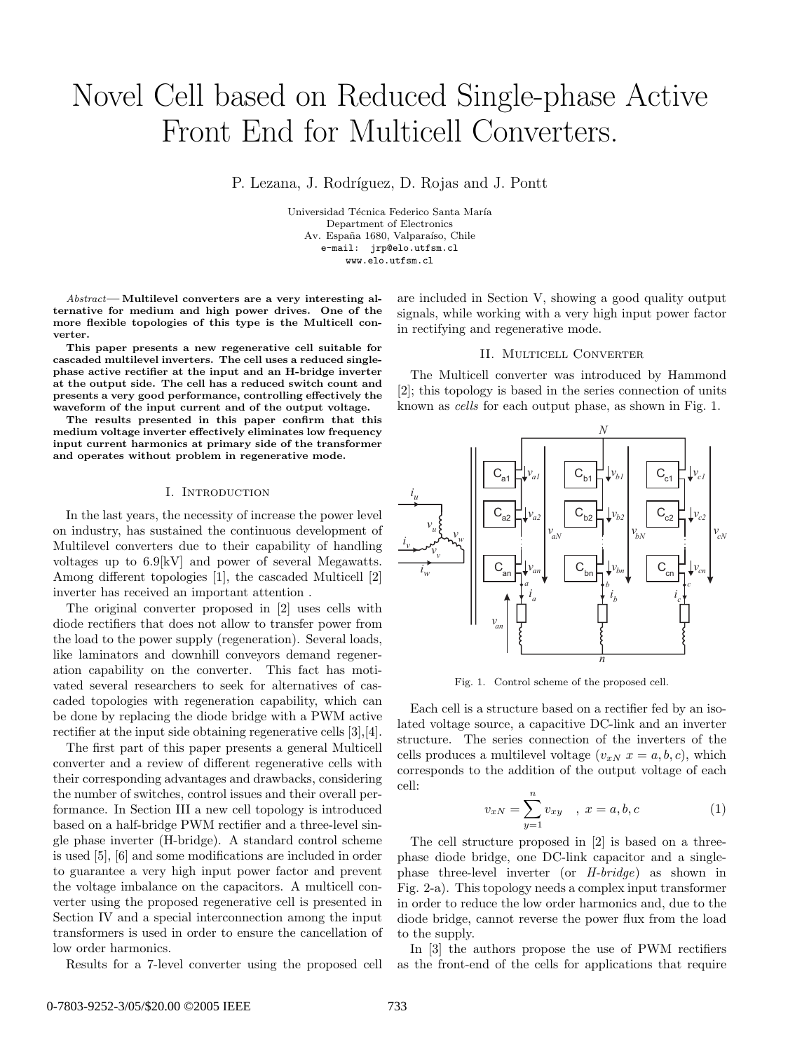# Novel Cell based on Reduced Single-phase Active Front End for Multicell Converters.

P. Lezana, J. Rodríguez, D. Rojas and J. Pontt

Universidad Técnica Federico Santa María Department of Electronics Av. España 1680, Valparaíso, Chile e-mail: jrp@elo.utfsm.cl www.elo.utfsm.cl

*Abstract***— Multilevel converters are a very interesting alternative for medium and high power drives. One of the more flexible topologies of this type is the Multicell converter.**

**This paper presents a new regenerative cell suitable for cascaded multilevel inverters. The cell uses a reduced singlephase active rectifier at the input and an H-bridge inverter at the output side. The cell has a reduced switch count and presents a very good performance, controlling effectively the waveform of the input current and of the output voltage.**

**The results presented in this paper confirm that this medium voltage inverter effectively eliminates low frequency input current harmonics at primary side of the transformer and operates without problem in regenerative mode.**

## I. INTRODUCTION

In the last years, the necessity of increase the power level on industry, has sustained the continuous development of Multilevel converters due to their capability of handling voltages up to 6.9[kV] and power of several Megawatts. Among different topologies [1], the cascaded Multicell [2] inverter has received an important attention .

The original converter proposed in [2] uses cells with diode rectifiers that does not allow to transfer power from the load to the power supply (regeneration). Several loads, like laminators and downhill conveyors demand regeneration capability on the converter. This fact has motivated several researchers to seek for alternatives of cascaded topologies with regeneration capability, which can be done by replacing the diode bridge with a PWM active rectifier at the input side obtaining regenerative cells [3],[4].

The first part of this paper presents a general Multicell converter and a review of different regenerative cells with their corresponding advantages and drawbacks, considering the number of switches, control issues and their overall performance. In Section III a new cell topology is introduced based on a half-bridge PWM rectifier and a three-level single phase inverter (H-bridge). A standard control scheme is used [5], [6] and some modifications are included in order to guarantee a very high input power factor and prevent the voltage imbalance on the capacitors. A multicell converter using the proposed regenerative cell is presented in Section IV and a special interconnection among the input transformers is used in order to ensure the cancellation of low order harmonics.

Results for a 7-level converter using the proposed cell

are included in Section V, showing a good quality output signals, while working with a very high input power factor in rectifying and regenerative mode.

#### II. Multicell Converter

The Multicell converter was introduced by Hammond [2]; this topology is based in the series connection of units known as *cells* for each output phase, as shown in Fig. 1.



Fig. 1. Control scheme of the proposed cell.

Each cell is a structure based on a rectifier fed by an isolated voltage source, a capacitive DC-link and an inverter structure. The series connection of the inverters of the cells produces a multilevel voltage  $(v_{xN} x = a, b, c)$ , which corresponds to the addition of the output voltage of each cell:

$$
v_{xN} = \sum_{y=1}^{n} v_{xy} , x = a, b, c
$$
 (1)

The cell structure proposed in [2] is based on a threephase diode bridge, one DC-link capacitor and a singlephase three-level inverter (or *H-bridge*) as shown in Fig. 2-a). This topology needs a complex input transformer in order to reduce the low order harmonics and, due to the diode bridge, cannot reverse the power flux from the load to the supply.

In [3] the authors propose the use of PWM rectifiers as the front-end of the cells for applications that require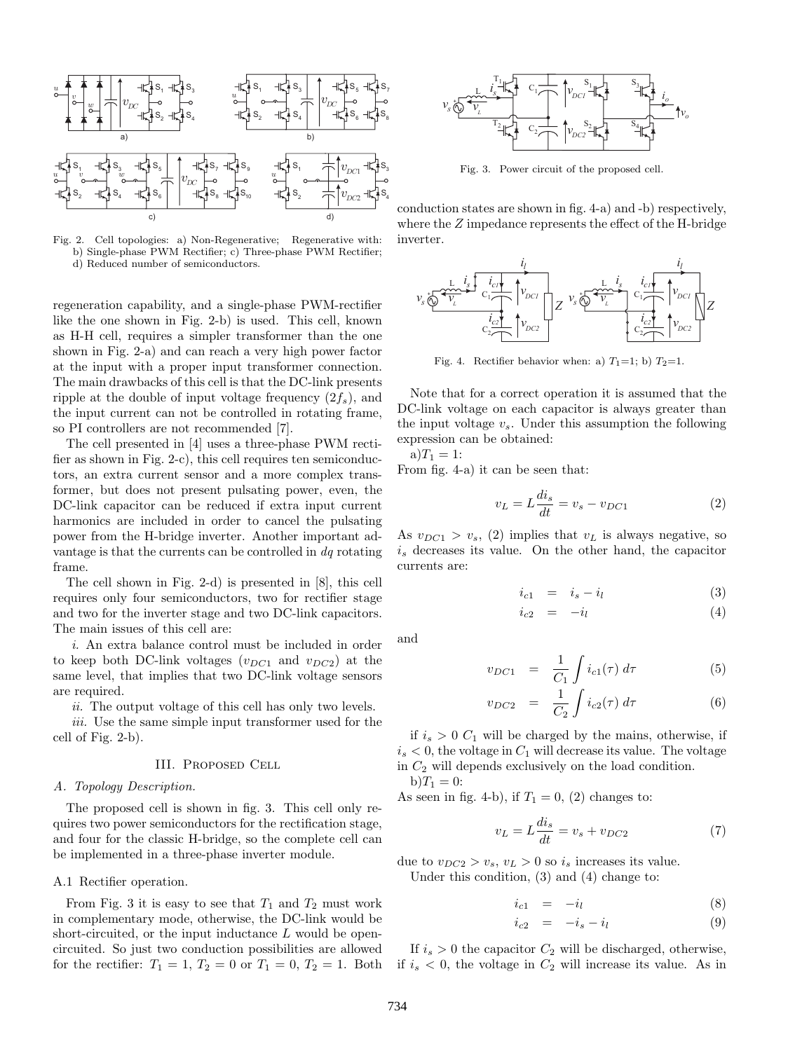

Fig. 2. Cell topologies: a) Non-Regenerative; Regenerative with: b) Single-phase PWM Rectifier; c) Three-phase PWM Rectifier; d) Reduced number of semiconductors.

regeneration capability, and a single-phase PWM-rectifier like the one shown in Fig. 2-b) is used. This cell, known as H-H cell, requires a simpler transformer than the one shown in Fig. 2-a) and can reach a very high power factor at the input with a proper input transformer connection. The main drawbacks of this cell is that the DC-link presents ripple at the double of input voltage frequency  $(2f_s)$ , and the input current can not be controlled in rotating frame, so PI controllers are not recommended [7].

The cell presented in [4] uses a three-phase PWM rectifier as shown in Fig. 2-c), this cell requires ten semiconductors, an extra current sensor and a more complex transformer, but does not present pulsating power, even, the DC-link capacitor can be reduced if extra input current harmonics are included in order to cancel the pulsating power from the H-bridge inverter. Another important advantage is that the currents can be controlled in *dq* rotating frame.

The cell shown in Fig. 2-d) is presented in [8], this cell requires only four semiconductors, two for rectifier stage and two for the inverter stage and two DC-link capacitors. The main issues of this cell are:

*i.* An extra balance control must be included in order to keep both DC-link voltages  $(v_{DC1}$  and  $v_{DC2})$  at the same level, that implies that two DC-link voltage sensors are required.

*ii.* The output voltage of this cell has only two levels.

*iii.* Use the same simple input transformer used for the cell of Fig. 2-b).

## III. Proposed Cell

#### *A. Topology Description.*

The proposed cell is shown in fig. 3. This cell only requires two power semiconductors for the rectification stage, and four for the classic H-bridge, so the complete cell can be implemented in a three-phase inverter module.

#### A.1 Rectifier operation.

From Fig. 3 it is easy to see that  $T_1$  and  $T_2$  must work in complementary mode, otherwise, the DC-link would be short-circuited, or the input inductance  $L$  would be opencircuited. So just two conduction possibilities are allowed for the rectifier:  $T_1 = 1, T_2 = 0$  or  $T_1 = 0, T_2 = 1$ . Both



Fig. 3. Power circuit of the proposed cell.

conduction states are shown in fig. 4-a) and -b) respectively, where the  $Z$  impedance represents the effect of the H-bridge inverter.



Fig. 4. Rectifier behavior when: a)  $T_1=1$ ; b)  $T_2=1$ .

Note that for a correct operation it is assumed that the DC-link voltage on each capacitor is always greater than the input voltage v*s*. Under this assumption the following expression can be obtained:

 $a)T_1 = 1$ :

From fig. 4-a) it can be seen that:

$$
v_L = L\frac{di_s}{dt} = v_s - v_{DC1}
$$
\n<sup>(2)</sup>

As  $v_{DC1} > v_s$ , (2) implies that  $v_L$  is always negative, so i*<sup>s</sup>* decreases its value. On the other hand, the capacitor currents are:

$$
i_{c1} = i_s - i_l \tag{3}
$$

$$
i_{c2} = -i_l \tag{4}
$$

and

$$
v_{DC1} = \frac{1}{C_1} \int i_{c1}(\tau) \, d\tau \tag{5}
$$

$$
v_{DC2} = \frac{1}{C_2} \int i_{c2}(\tau) d\tau \tag{6}
$$

if  $i_s > 0$   $C_1$  will be charged by the mains, otherwise, if  $i_s < 0$ , the voltage in  $C_1$  will decrease its value. The voltage in  $C_2$  will depends exclusively on the load condition.  $b)T_1 = 0:$ 

As seen in fig. 4-b), if  $T_1 = 0$ , (2) changes to:

$$
v_L = L\frac{di_s}{dt} = v_s + v_{DC2}
$$
\n<sup>(7)</sup>

due to  $v_{DC2} > v_s$ ,  $v_L > 0$  so  $i_s$  increases its value. Under this condition, (3) and (4) change to:

$$
i_{c1} = -i_l \tag{8}
$$

$$
i_{c2} = -i_s - i_l \tag{9}
$$

If  $i_s > 0$  the capacitor  $C_2$  will be discharged, otherwise, if  $i_s < 0$ , the voltage in  $C_2$  will increase its value. As in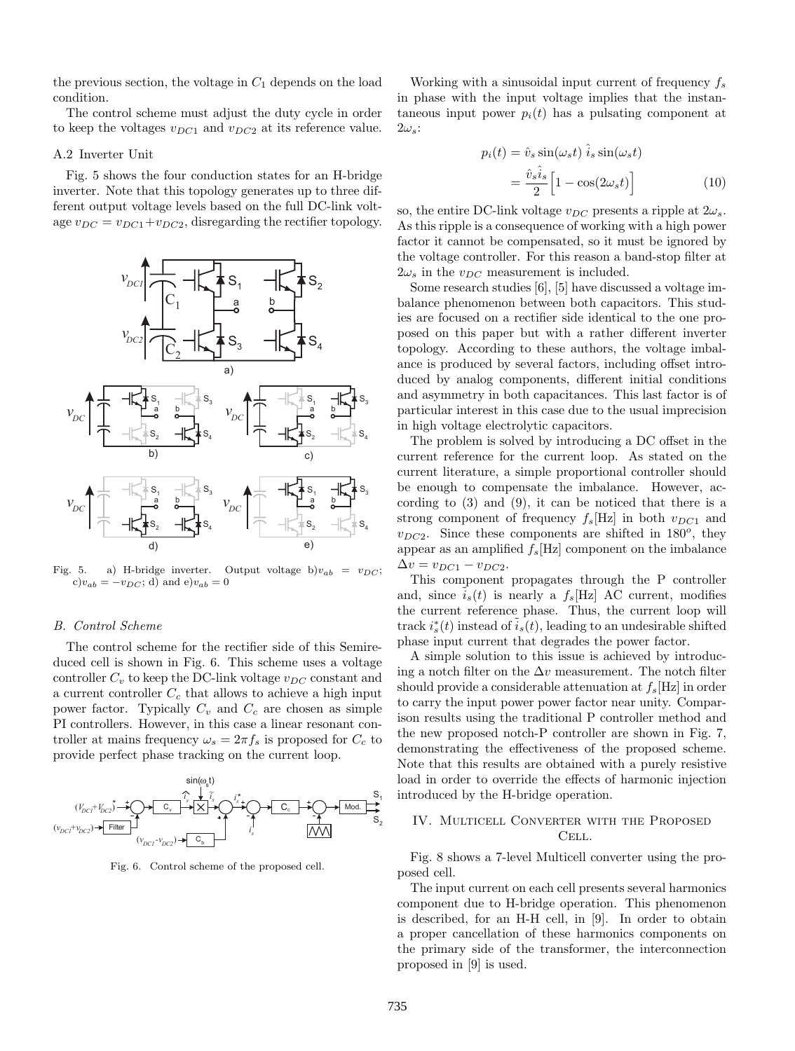the previous section, the voltage in  $C_1$  depends on the load condition.

The control scheme must adjust the duty cycle in order to keep the voltages v*DC*<sup>1</sup> and v*DC*<sup>2</sup> at its reference value.

#### A.2 Inverter Unit

Fig. 5 shows the four conduction states for an H-bridge inverter. Note that this topology generates up to three different output voltage levels based on the full DC-link voltage  $v_{DC} = v_{DC1} + v_{DC2}$ , disregarding the rectifier topology.



Fig. 5. a) H-bridge inverter. Output voltage b) $v_{ab} = v_{DC}$ ;  $\mathbf{c})v_{ab} = -v_{DC}$ ; d) and  $\mathbf{e})v_{ab} = 0$ 

## *B. Control Scheme*

The control scheme for the rectifier side of this Semireduced cell is shown in Fig. 6. This scheme uses a voltage controller  $C_v$  to keep the DC-link voltage  $v_{DC}$  constant and a current controller C*<sup>c</sup>* that allows to achieve a high input power factor. Typically  $C_v$  and  $C_c$  are chosen as simple PI controllers. However, in this case a linear resonant controller at mains frequency  $\omega_s = 2\pi f_s$  is proposed for  $C_c$  to provide perfect phase tracking on the current loop.



Fig. 6. Control scheme of the proposed cell.

Working with a sinusoidal input current of frequency f*<sup>s</sup>* in phase with the input voltage implies that the instantaneous input power  $p_i(t)$  has a pulsating component at  $2\omega_s$ :

$$
p_i(t) = \hat{v}_s \sin(\omega_s t) \hat{i}_s \sin(\omega_s t)
$$

$$
= \frac{\hat{v}_s \hat{i}_s}{2} \left[ 1 - \cos(2\omega_s t) \right]
$$
(10)

so, the entire DC-link voltage  $v_{DC}$  presents a ripple at  $2\omega_s$ . As this ripple is a consequence of working with a high power factor it cannot be compensated, so it must be ignored by the voltage controller. For this reason a band-stop filter at  $2\omega_s$  in the  $v_{DC}$  measurement is included.

Some research studies [6], [5] have discussed a voltage imbalance phenomenon between both capacitors. This studies are focused on a rectifier side identical to the one proposed on this paper but with a rather different inverter topology. According to these authors, the voltage imbalance is produced by several factors, including offset introduced by analog components, different initial conditions and asymmetry in both capacitances. This last factor is of particular interest in this case due to the usual imprecision in high voltage electrolytic capacitors.

The problem is solved by introducing a DC offset in the current reference for the current loop. As stated on the current literature, a simple proportional controller should be enough to compensate the imbalance. However, according to (3) and (9), it can be noticed that there is a strong component of frequency  $f_s[\text{Hz}]$  in both  $v_{DC1}$  and  $v_{DC2}$ . Since these components are shifted in 180<sup>o</sup>, they appear as an amplified  $f_s$ [Hz] component on the imbalance  $\Delta v = v_{DC1} - v_{DC2}$ .

This component propagates through the P controller and, since  $i_s(t)$  is nearly a  $f_s[Hz]$  AC current, modifies the current reference phase. Thus, the current loop will track  $i_s^*(t)$  instead of  $\tilde{i}_s(t)$ , leading to an undesirable shifted phase input current that degrades the power factor.

A simple solution to this issue is achieved by introducing a notch filter on the  $\Delta v$  measurement. The notch filter should provide a considerable attenuation at f*s*[Hz] in order to carry the input power power factor near unity. Comparison results using the traditional P controller method and the new proposed notch-P controller are shown in Fig. 7, demonstrating the effectiveness of the proposed scheme. Note that this results are obtained with a purely resistive load in order to override the effects of harmonic injection introduced by the H-bridge operation.

# IV. Multicell Converter with the Proposed Cell.

Fig. 8 shows a 7-level Multicell converter using the proposed cell.

The input current on each cell presents several harmonics component due to H-bridge operation. This phenomenon is described, for an H-H cell, in [9]. In order to obtain a proper cancellation of these harmonics components on the primary side of the transformer, the interconnection proposed in [9] is used.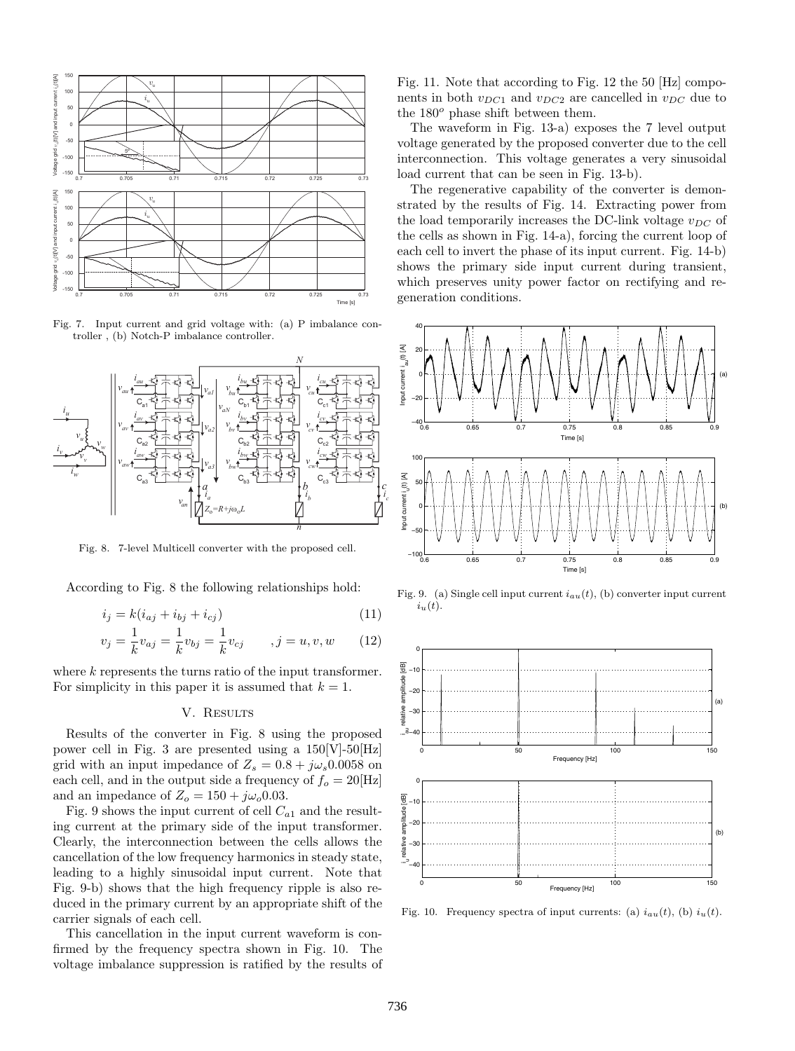

Fig. 7. Input current and grid voltage with: (a) P imbalance controller , (b) Notch-P imbalance controller.



Fig. 8. 7-level Multicell converter with the proposed cell.

According to Fig. 8 the following relationships hold:

$$
i_j = k(i_{aj} + i_{bj} + i_{cj})
$$
\n<sup>(11)</sup>

$$
v_j = \frac{1}{k} v_{aj} = \frac{1}{k} v_{bj} = \frac{1}{k} v_{cj} \qquad , j = u, v, w \qquad (12)
$$

where k represents the turns ratio of the input transformer. For simplicity in this paper it is assumed that  $k = 1$ .

# V. RESULTS

Results of the converter in Fig. 8 using the proposed power cell in Fig. 3 are presented using a  $150[V]-50[Hz]$ grid with an input impedance of  $Z_s = 0.8 + j\omega_s 0.0058$  on each cell, and in the output side a frequency of  $f<sub>o</sub> = 20$ [Hz] and an impedance of  $Z_o = 150 + j\omega_o 0.03$ .

Fig. 9 shows the input current of cell  $C_{a1}$  and the resulting current at the primary side of the input transformer. Clearly, the interconnection between the cells allows the cancellation of the low frequency harmonics in steady state, leading to a highly sinusoidal input current. Note that Fig. 9-b) shows that the high frequency ripple is also reduced in the primary current by an appropriate shift of the carrier signals of each cell.

This cancellation in the input current waveform is confirmed by the frequency spectra shown in Fig. 10. The voltage imbalance suppression is ratified by the results of

Fig. 11. Note that according to Fig. 12 the 50 [Hz] components in both  $v_{DC1}$  and  $v_{DC2}$  are cancelled in  $v_{DC}$  due to the 180*<sup>o</sup>* phase shift between them.

The waveform in Fig. 13-a) exposes the 7 level output voltage generated by the proposed converter due to the cell interconnection. This voltage generates a very sinusoidal load current that can be seen in Fig. 13-b).

The regenerative capability of the converter is demonstrated by the results of Fig. 14. Extracting power from the load temporarily increases the DC-link voltage  $v_{DC}$  of the cells as shown in Fig. 14-a), forcing the current loop of each cell to invert the phase of its input current. Fig. 14-b) shows the primary side input current during transient, which preserves unity power factor on rectifying and regeneration conditions.



Fig. 9. (a) Single cell input current *iau*(*t*), (b) converter input current *iu*(*t*).



Fig. 10. Frequency spectra of input currents: (a)  $i_{au}(t)$ , (b)  $i_{u}(t)$ .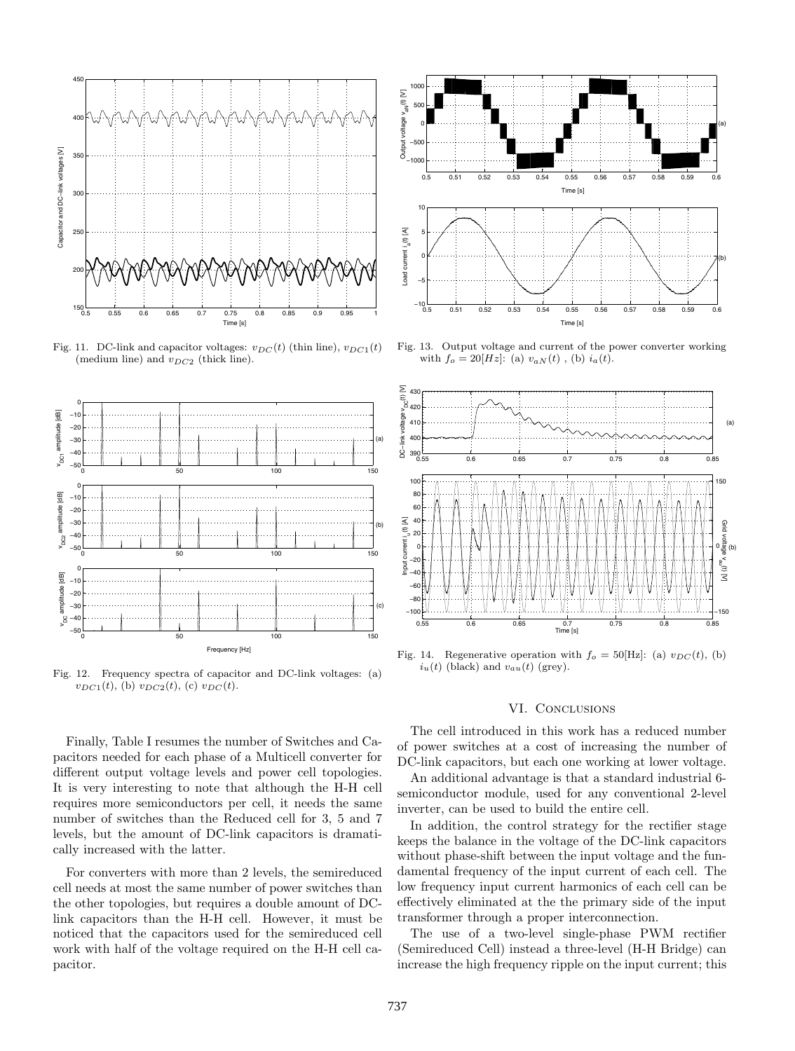

Fig. 11. DC-link and capacitor voltages:  $v_{DC}(t)$  (thin line),  $v_{DC1}(t)$ (medium line) and *vDC*<sup>2</sup> (thick line).



Fig. 12. Frequency spectra of capacitor and DC-link voltages: (a)  $v_{DC1}(t)$ , (b)  $v_{DC2}(t)$ , (c)  $v_{DC}(t)$ .

Finally, Table I resumes the number of Switches and Capacitors needed for each phase of a Multicell converter for different output voltage levels and power cell topologies. It is very interesting to note that although the H-H cell requires more semiconductors per cell, it needs the same number of switches than the Reduced cell for 3, 5 and 7 levels, but the amount of DC-link capacitors is dramatically increased with the latter.

For converters with more than 2 levels, the semireduced cell needs at most the same number of power switches than the other topologies, but requires a double amount of DClink capacitors than the H-H cell. However, it must be noticed that the capacitors used for the semireduced cell work with half of the voltage required on the H-H cell capacitor.



Fig. 13. Output voltage and current of the power converter working with  $f_o = 20[Hz]$ : (a)  $v_{aN}(t)$ , (b)  $i_a(t)$ .



Fig. 14. Regenerative operation with  $f_o = 50$ [Hz]: (a)  $v_{DC}(t)$ , (b)  $i_u(t)$  (black) and  $v_{au}(t)$  (grey).

# VI. CONCLUSIONS

The cell introduced in this work has a reduced number of power switches at a cost of increasing the number of DC-link capacitors, but each one working at lower voltage.

An additional advantage is that a standard industrial 6 semiconductor module, used for any conventional 2-level inverter, can be used to build the entire cell.

In addition, the control strategy for the rectifier stage keeps the balance in the voltage of the DC-link capacitors without phase-shift between the input voltage and the fundamental frequency of the input current of each cell. The low frequency input current harmonics of each cell can be effectively eliminated at the the primary side of the input transformer through a proper interconnection.

The use of a two-level single-phase PWM rectifier (Semireduced Cell) instead a three-level (H-H Bridge) can increase the high frequency ripple on the input current; this